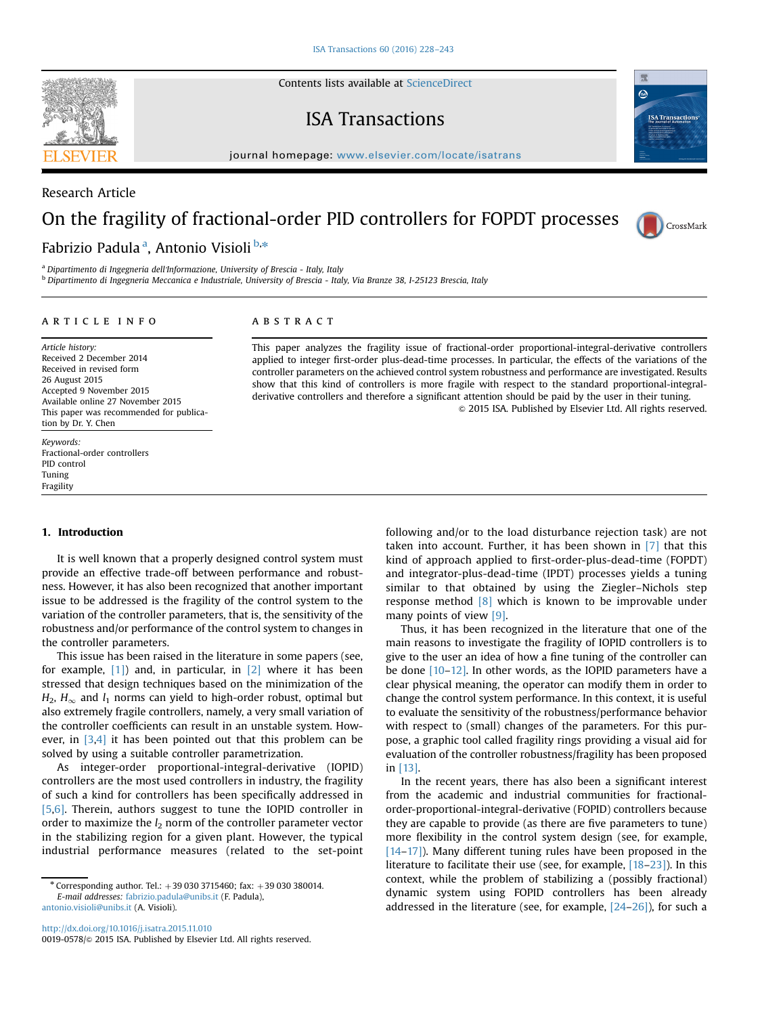Contents lists available at [ScienceDirect](www.sciencedirect.com/science/journal/00190578)

### ISA Transactions

 $j<sub>0</sub>$ 

# On the fragility of fractional-order PID controllers for FOPDT processes

Fabrizio Padula<sup>a</sup>, Antonio Visioli <sup>b,</sup>\*

<sup>a</sup> Dipartimento di Ingegneria dell'Informazione, University of Brescia - Italy, Italy

<sup>b</sup> Dipartimento di Ingegneria Meccanica e Industriale, University of Brescia - Italy, Via Branze 38, I-25123 Brescia, Italy

#### article info

#### ABSTRACT

Article history: Received 2 December 2014 Received in revised form 26 August 2015 Accepted 9 November 2015 Available online 27 November 2015 This paper was recommended for publication by Dr. Y. Chen

#### Fractional-order controllers PID control Tuning Fragility

#### 1. Introduction

Keywords:

It is well known that a properly designed control system must provide an effective trade-off between performance and robustness. However, it has also been recognized that another important issue to be addressed is the fragility of the control system to the variation of the controller parameters, that is, the sensitivity of the robustness and/or performance of the control system to changes in the controller parameters.

This issue has been raised in the literature in some papers (see, for example,  $[1]$  and, in particular, in  $[2]$  where it has been stressed that design techniques based on the minimization of the  $H_2$ ,  $H_{\infty}$  and  $l_1$  norms can yield to high-order robust, optimal but also extremely fragile controllers, namely, a very small variation of the controller coefficients can result in an unstable system. However, in [3,4] it has been pointed out that this problem can be solved by using a suitable controller parametrization.

As integer-order proportional-integral-derivative (IOPID) controllers are the most used controllers in industry, the fragility of such a kind for controllers has been specifically addressed in [5,6]. Therein, authors suggest to tune the IOPID controller in order to maximize the  $l_2$  norm of the controller parameter vector in the stabilizing region for a given plant. However, the typical industrial performance measures (related to the set-point

This paper analyzes the fragility issue of fractional-order proportional-integral-derivative controllers applied to integer first-order plus-dead-time processes. In particular, the effects of the variations of the controller parameters on the achieved control system robustness and performance are investigated. Results show that this kind of controllers is more fragile with respect to the standard proportional-integralderivative controllers and therefore a significant attention should be paid by the user in their tuning.

& 2015 ISA. Published by Elsevier Ltd. All rights reserved.

following and/or to the load disturbance rejection task) are not taken into account. Further, it has been shown in [7] that this kind of approach applied to first-order-plus-dead-time (FOPDT) and integrator-plus-dead-time (IPDT) processes yields a tuning similar to that obtained by using the Ziegler–Nichols step response method [8] which is known to be improvable under many points of view [9].

Thus, it has been recognized in the literature that one of the main reasons to investigate the fragility of IOPID controllers is to give to the user an idea of how a fine tuning of the controller can be done [10–12]. In other words, as the IOPID parameters have a clear physical meaning, the operator can modify them in order to change the control system performance. In this context, it is useful to evaluate the sensitivity of the robustness/performance behavior with respect to (small) changes of the parameters. For this purpose, a graphic tool called fragility rings providing a visual aid for evaluation of the controller robustness/fragility has been proposed in [13].

In the recent years, there has also been a significant interest from the academic and industrial communities for fractionalorder-proportional-integral-derivative (FOPID) controllers because they are capable to provide (as there are five parameters to tune) more flexibility in the control system design (see, for example, [14–17]). Many different tuning rules have been proposed in the literature to facilitate their use (see, for example, [18–23]). In this context, while the problem of stabilizing a (possibly fractional) dynamic system using FOPID controllers has been already addressed in the literature (see, for example,  $[24-26]$ ), for such a



Research Article





<sup>\*</sup> Corresponding author. Tel.:  $+390303715460$ ; fax:  $+39030380014$ . E-mail addresses: [fabrizio.padula@unibs.it](mailto:fabrizio.padula@unibs.it) (F. Padula), [antonio.visioli@unibs.it](mailto:antonio.visioli@unibs.it) (A. Visioli).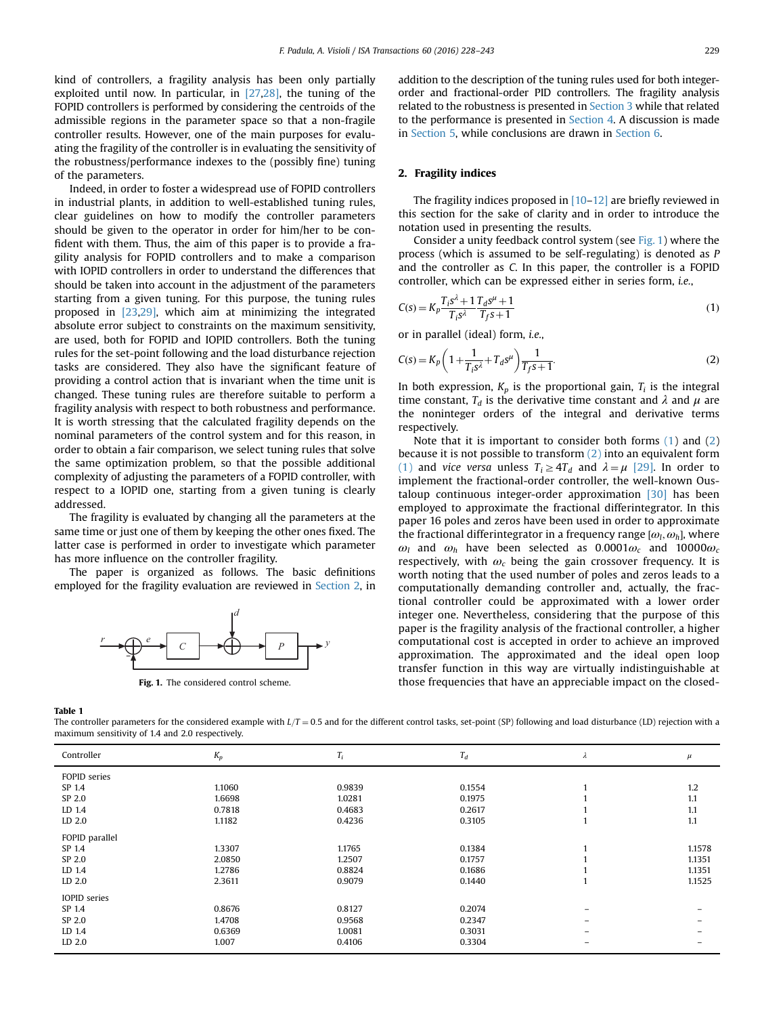kind of controllers, a fragility analysis has been only partially exploited until now. In particular, in [27,28], the tuning of the FOPID controllers is performed by considering the centroids of the admissible regions in the parameter space so that a non-fragile controller results. However, one of the main purposes for evaluating the fragility of the controller is in evaluating the sensitivity of the robustness/performance indexes to the (possibly fine) tuning of the parameters.

Indeed, in order to foster a widespread use of FOPID controllers in industrial plants, in addition to well-established tuning rules, clear guidelines on how to modify the controller parameters should be given to the operator in order for him/her to be confident with them. Thus, the aim of this paper is to provide a fragility analysis for FOPID controllers and to make a comparison with IOPID controllers in order to understand the differences that should be taken into account in the adjustment of the parameters starting from a given tuning. For this purpose, the tuning rules proposed in [23,29], which aim at minimizing the integrated absolute error subject to constraints on the maximum sensitivity, are used, both for FOPID and IOPID controllers. Both the tuning rules for the set-point following and the load disturbance rejection tasks are considered. They also have the significant feature of providing a control action that is invariant when the time unit is changed. These tuning rules are therefore suitable to perform a fragility analysis with respect to both robustness and performance. It is worth stressing that the calculated fragility depends on the nominal parameters of the control system and for this reason, in order to obtain a fair comparison, we select tuning rules that solve the same optimization problem, so that the possible additional complexity of adjusting the parameters of a FOPID controller, with respect to a IOPID one, starting from a given tuning is clearly addressed.

The fragility is evaluated by changing all the parameters at the same time or just one of them by keeping the other ones fixed. The latter case is performed in order to investigate which parameter has more influence on the controller fragility.

The paper is organized as follows. The basic definitions employed for the fragility evaluation are reviewed in Section 2, in



Fig. 1. The considered control scheme.

addition to the description of the tuning rules used for both integerorder and fractional-order PID controllers. The fragility analysis related to the robustness is presented in Section 3 while that related to the performance is presented in Section 4. A discussion is made in Section 5, while conclusions are drawn in Section 6.

#### 2. Fragility indices

The fragility indices proposed in  $[10-12]$  are briefly reviewed in this section for the sake of clarity and in order to introduce the notation used in presenting the results.

Consider a unity feedback control system (see Fig. 1) where the process (which is assumed to be self-regulating) is denoted as P and the controller as C. In this paper, the controller is a FOPID controller, which can be expressed either in series form, i.e.,

$$
C(s) = K_p \frac{T_i s^2 + 1 T_d s^{\mu} + 1}{T_i s^2} \tag{1}
$$

or in parallel (ideal) form, i.e.,

$$
C(s) = K_p \left( 1 + \frac{1}{T_i s^{\lambda}} + T_d s^{\mu} \right) \frac{1}{T_f s + 1}.
$$
 (2)

In both expression,  $K_p$  is the proportional gain,  $T_i$  is the integral time constant,  $T_d$  is the derivative time constant and  $\lambda$  and  $\mu$  are the noninteger orders of the integral and derivative terms respectively.

Note that it is important to consider both forms (1) and (2) because it is not possible to transform (2) into an equivalent form (1) and vice versa unless  $T_i \geq 4T_d$  and  $\lambda = \mu$  [29]. In order to implement the fractional-order controller, the well-known Oustaloup continuous integer-order approximation [30] has been employed to approximate the fractional differintegrator. In this paper 16 poles and zeros have been used in order to approximate the fractional differintegrator in a frequency range  $[\omega_L, \omega_h]$ , where  $\omega_L$ ; have been selected as 0.0001 $\omega_L$ ; and 10000 $\omega_L$  $\omega_l$  and  $\omega_h$  have been selected as 0.0001 $\omega_c$  and 10000 $\omega_c$ respectively, with  $\omega_c$  being the gain crossover frequency. It is worth noting that the used number of poles and zeros leads to a computationally demanding controller and, actually, the fractional controller could be approximated with a lower order integer one. Nevertheless, considering that the purpose of this paper is the fragility analysis of the fractional controller, a higher computational cost is accepted in order to achieve an improved approximation. The approximated and the ideal open loop transfer function in this way are virtually indistinguishable at those frequencies that have an appreciable impact on the closed-

Table 1

The controller parameters for the considered example with  $L/T = 0.5$  and for the different control tasks, set-point (SP) following and load disturbance (LD) rejection with a maximum sensitivity of 1.4 and 2.0 respectively.

| Controller          | $K_p$  | $T_i$  | $T_d$  | λ | $\mu$  |
|---------------------|--------|--------|--------|---|--------|
| FOPID series        |        |        |        |   |        |
| SP 1.4              | 1.1060 | 0.9839 | 0.1554 |   | 1.2    |
| SP 2.0              | 1.6698 | 1.0281 | 0.1975 |   | 1.1    |
| LD 1.4              | 0.7818 | 0.4683 | 0.2617 |   | 1.1    |
| LD 2.0              | 1.1182 | 0.4236 | 0.3105 |   | 1.1    |
| FOPID parallel      |        |        |        |   |        |
| SP 1.4              | 1.3307 | 1.1765 | 0.1384 |   | 1.1578 |
| SP 2.0              | 2.0850 | 1.2507 | 0.1757 |   | 1.1351 |
| LD 1.4              | 1.2786 | 0.8824 | 0.1686 |   | 1.1351 |
| LD 2.0              | 2.3611 | 0.9079 | 0.1440 |   | 1.1525 |
| <b>IOPID</b> series |        |        |        |   |        |
| SP 1.4              | 0.8676 | 0.8127 | 0.2074 |   |        |
| SP 2.0              | 1.4708 | 0.9568 | 0.2347 |   |        |
| LD 1.4              | 0.6369 | 1.0081 | 0.3031 |   |        |
| LD 2.0              | 1.007  | 0.4106 | 0.3304 |   |        |
|                     |        |        |        |   |        |